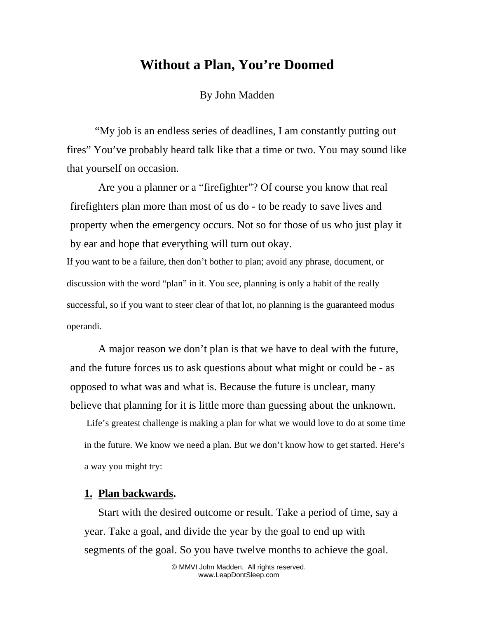## **Without a Plan, You're Doomed**

By John Madden

"My job is an endless series of deadlines, I am constantly putting out fires" You've probably heard talk like that a time or two. You may sound like that yourself on occasion.

Are you a planner or a "firefighter"? Of course you know that real firefighters plan more than most of us do - to be ready to save lives and property when the emergency occurs. Not so for those of us who just play it by ear and hope that everything will turn out okay.

If you want to be a failure, then don't bother to plan; avoid any phrase, document, or discussion with the word "plan" in it. You see, planning is only a habit of the really successful, so if you want to steer clear of that lot, no planning is the guaranteed modus operandi.

A major reason we don't plan is that we have to deal with the future, and the future forces us to ask questions about what might or could be - as opposed to what was and what is. Because the future is unclear, many believe that planning for it is little more than guessing about the unknown.

 Life's greatest challenge is making a plan for what we would love to do at some time in the future. We know we need a plan. But we don't know how to get started. Here's a way you might try:

## **1. Plan backwards.**

Start with the desired outcome or result. Take a period of time, say a year. Take a goal, and divide the year by the goal to end up with segments of the goal. So you have twelve months to achieve the goal.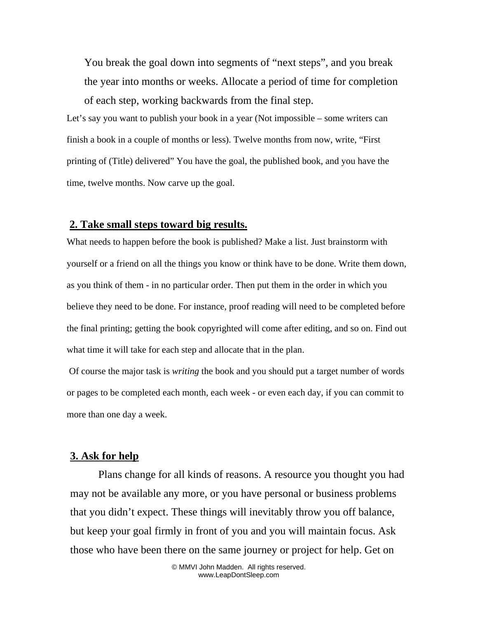You break the goal down into segments of "next steps", and you break the year into months or weeks. Allocate a period of time for completion of each step, working backwards from the final step.

Let's say you want to publish your book in a year (Not impossible – some writers can finish a book in a couple of months or less). Twelve months from now, write, "First printing of (Title) delivered" You have the goal, the published book, and you have the time, twelve months. Now carve up the goal.

## **2. Take small steps toward big results.**

What needs to happen before the book is published? Make a list. Just brainstorm with yourself or a friend on all the things you know or think have to be done. Write them down, as you think of them - in no particular order. Then put them in the order in which you believe they need to be done. For instance, proof reading will need to be completed before the final printing; getting the book copyrighted will come after editing, and so on. Find out what time it will take for each step and allocate that in the plan.

 Of course the major task is *writing* the book and you should put a target number of words or pages to be completed each month, each week - or even each day, if you can commit to more than one day a week.

## **3. Ask for help**

Plans change for all kinds of reasons. A resource you thought you had may not be available any more, or you have personal or business problems that you didn't expect. These things will inevitably throw you off balance, but keep your goal firmly in front of you and you will maintain focus. Ask those who have been there on the same journey or project for help. Get on